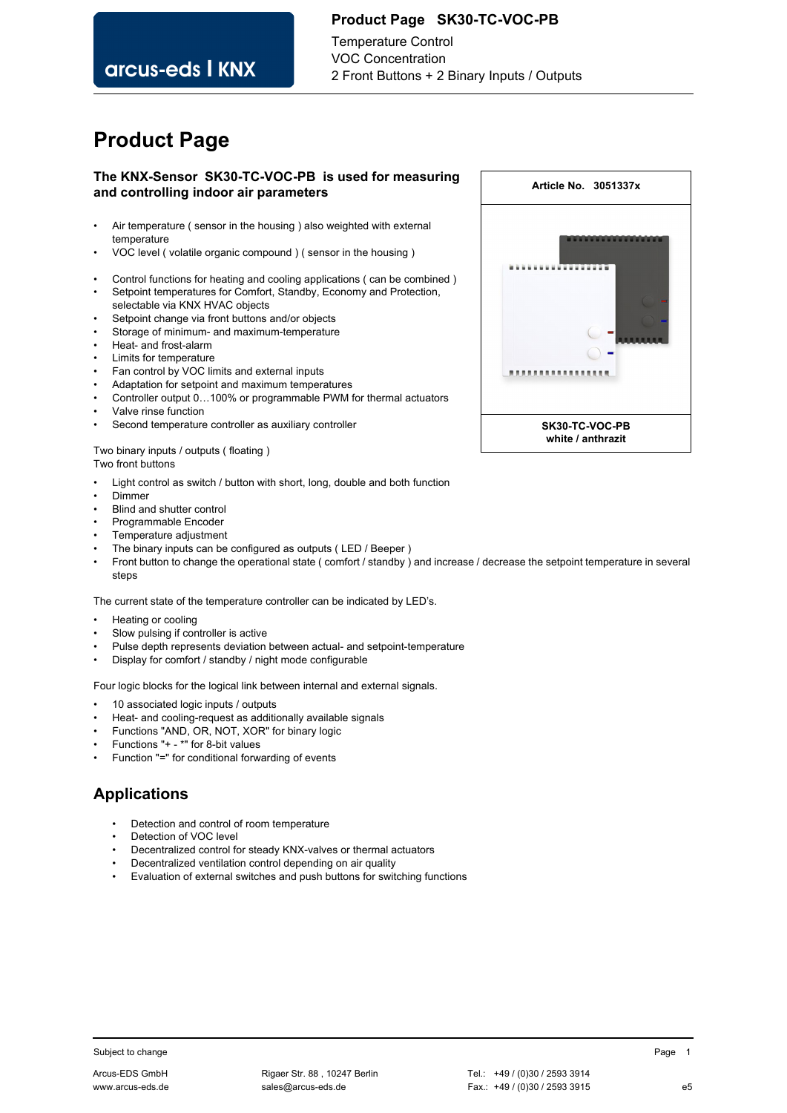### **Product Page SK30-TC-VOC-PB**

Temperature Control VOC Concentration 2 Front Buttons + 2 Binary Inputs / Outputs

# **Product Page**

arcus-eds I KNX

### **The KNX-Sensor SK30-TC-VOC-PB is used for measuring and controlling indoor air parameters**

- Air temperature ( sensor in the housing ) also weighted with external temperature
- VOC level ( volatile organic compound ) ( sensor in the housing )
- Control functions for heating and cooling applications ( can be combined )
- Setpoint temperatures for Comfort, Standby, Economy and Protection, selectable via KNX HVAC objects
- Setpoint change via front buttons and/or objects
- Storage of minimum- and maximum-temperature
- Heat- and frost-alarm
- Limits for temperature
- Fan control by VOC limits and external inputs
- Adaptation for setpoint and maximum temperatures
- Controller output 0…100% or programmable PWM for thermal actuators
- Valve rinse function
- Second temperature controller as auxiliary controller

#### Two binary inputs / outputs ( floating ) Two front buttons

- Light control as switch / button with short, long, double and both function
- Dimmer
- Blind and shutter control
- Programmable Encoder
- Temperature adjustment
- The binary inputs can be configured as outputs (LED / Beeper)
- Front button to change the operational state ( comfort / standby ) and increase / decrease the setpoint temperature in several steps

The current state of the temperature controller can be indicated by LED's.

- Heating or cooling
- Slow pulsing if controller is active
- Pulse depth represents deviation between actual- and setpoint-temperature
- Display for comfort / standby / night mode configurable

Four logic blocks for the logical link between internal and external signals.

- 10 associated logic inputs / outputs
- Heat- and cooling-request as additionally available signals
- Functions "AND, OR, NOT, XOR" for binary logic
- Functions "+ \*" for 8-bit values
- Function "=" for conditional forwarding of events

### **Applications**

- Detection and control of room temperature
- Detection of VOC level
- Decentralized control for steady KNX-valves or thermal actuators
- Decentralized ventilation control depending on air quality
- Evaluation of external switches and push buttons for switching functions



Subject to change **Page 1** and the Page 1 and the Page 1 and the Page 1 and the Page 1 and the Page 1 and the Page 1 and the Page 1 and the Page 1 and the Page 1 and the Page 1 and the Page 1 and the Page 1 and the Page 1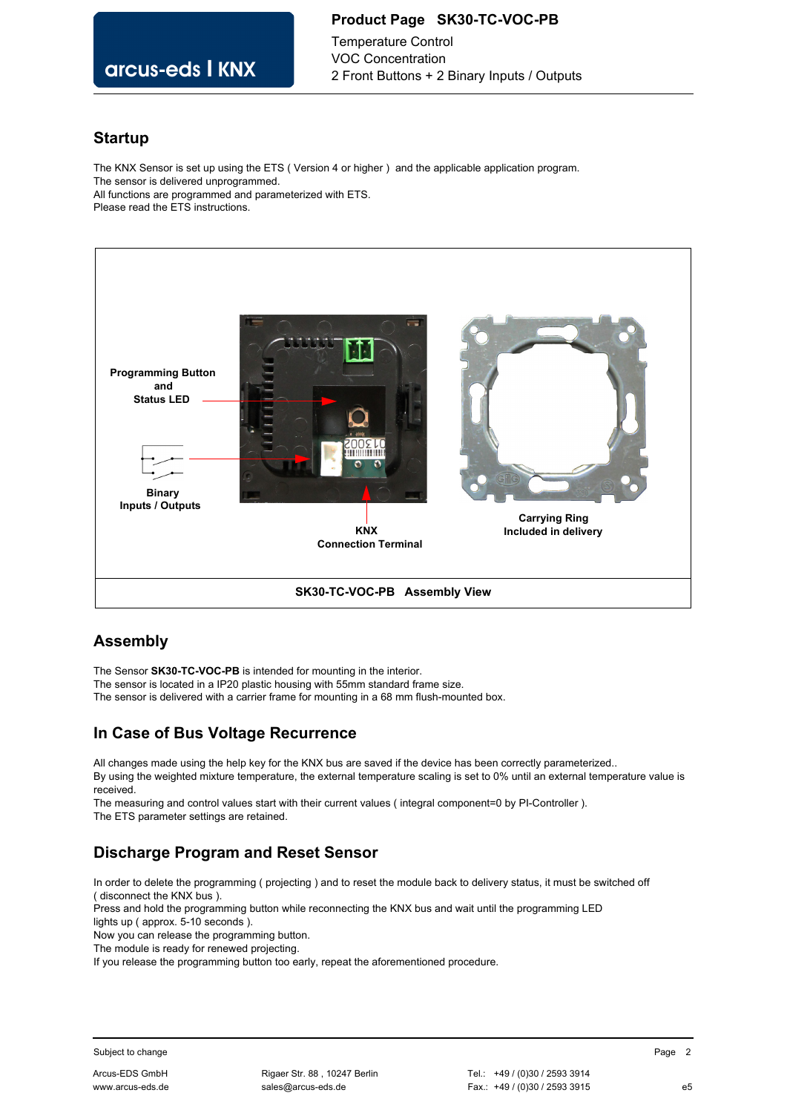### **Product Page SK30-TC-VOC-PB**

arcus-eds I KNX

Temperature Control VOC Concentration 2 Front Buttons + 2 Binary Inputs / Outputs

### **Startup**

The KNX Sensor is set up using the ETS ( Version 4 or higher ) and the applicable application program. The sensor is delivered unprogrammed. All functions are programmed and parameterized with ETS. Please read the ETS instructions.



## **Assembly**

The Sensor **SK30-TC-VOC-PB** is intended for mounting in the interior.

The sensor is located in a IP20 plastic housing with 55mm standard frame size.

The sensor is delivered with a carrier frame for mounting in a 68 mm flush-mounted box.

## **In Case of Bus Voltage Recurrence**

All changes made using the help key for the KNX bus are saved if the device has been correctly parameterized.. By using the weighted mixture temperature, the external temperature scaling is set to 0% until an external temperature value is received.

The measuring and control values start with their current values ( integral component=0 by PI-Controller ). The ETS parameter settings are retained.

# **Discharge Program and Reset Sensor**

In order to delete the programming ( projecting ) and to reset the module back to delivery status, it must be switched off ( disconnect the KNX bus ).

Press and hold the programming button while reconnecting the KNX bus and wait until the programming LED lights up ( approx. 5-10 seconds ).

Now you can release the programming button.

The module is ready for renewed projecting.

If you release the programming button too early, repeat the aforementioned procedure.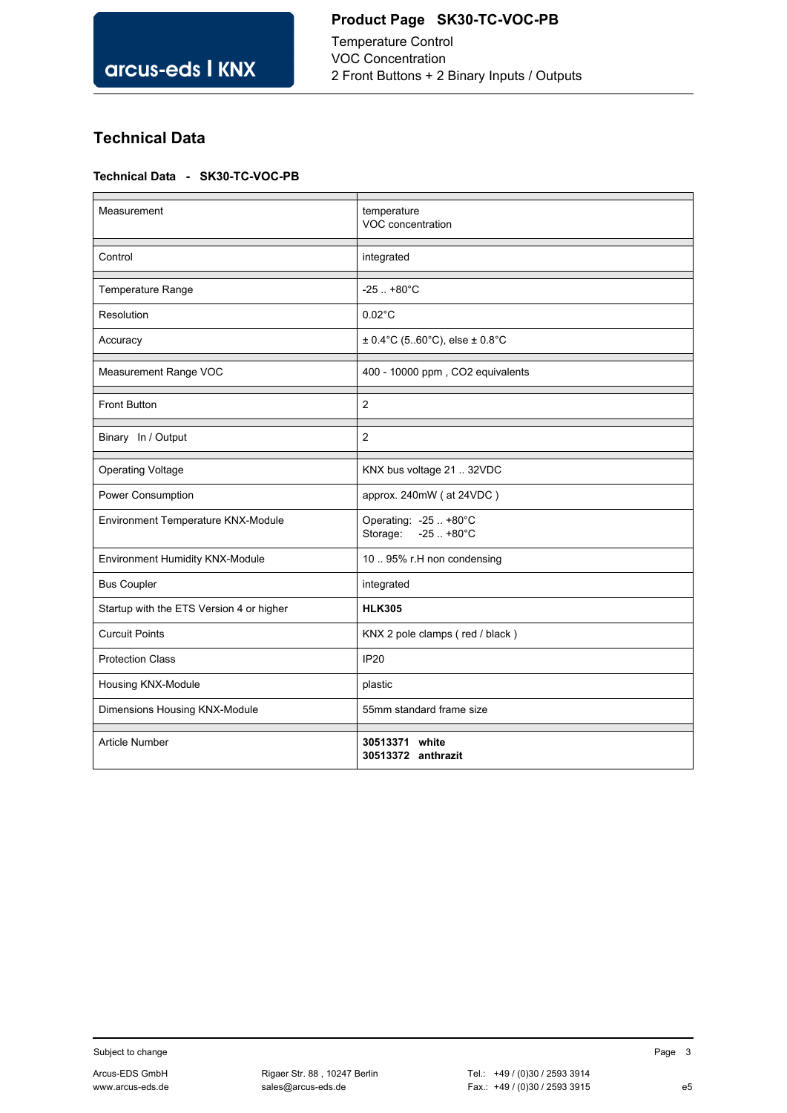# **Product Page SK30-TC-VOC-PB**

Temperature Control VOC Concentration 2 Front Buttons + 2 Binary Inputs / Outputs

# **Technical Data**

### **Technical Data - SK30-TC-VOC-PB**

| Measurement                              | temperature<br>VOC concentration                           |
|------------------------------------------|------------------------------------------------------------|
| Control                                  | integrated                                                 |
| Temperature Range                        | $-25. + 80^{\circ}$ C                                      |
| Resolution                               | $0.02^{\circ}$ C                                           |
| Accuracy                                 | $\pm$ 0.4°C (560°C), else $\pm$ 0.8°C                      |
| Measurement Range VOC                    | 400 - 10000 ppm, CO2 equivalents                           |
| <b>Front Button</b>                      | $\overline{2}$                                             |
| Binary In / Output                       | $\overline{2}$                                             |
| <b>Operating Voltage</b>                 | KNX bus voltage 21  32VDC                                  |
| Power Consumption                        | approx. 240mW (at 24VDC)                                   |
| Environment Temperature KNX-Module       | Operating: -25  +80°C<br>Storage:<br>$-25. + 80^{\circ}$ C |
| Environment Humidity KNX-Module          | 10  95% r.H non condensing                                 |
| <b>Bus Coupler</b>                       | integrated                                                 |
| Startup with the ETS Version 4 or higher | <b>HLK305</b>                                              |
| <b>Curcuit Points</b>                    | KNX 2 pole clamps (red / black)                            |
| <b>Protection Class</b>                  | <b>IP20</b>                                                |
| Housing KNX-Module                       | plastic                                                    |
| Dimensions Housing KNX-Module            | 55mm standard frame size                                   |
| <b>Article Number</b>                    | 30513371 white<br>30513372 anthrazit                       |

Subject to change and the state of the state of the Subject to change and the Page 3